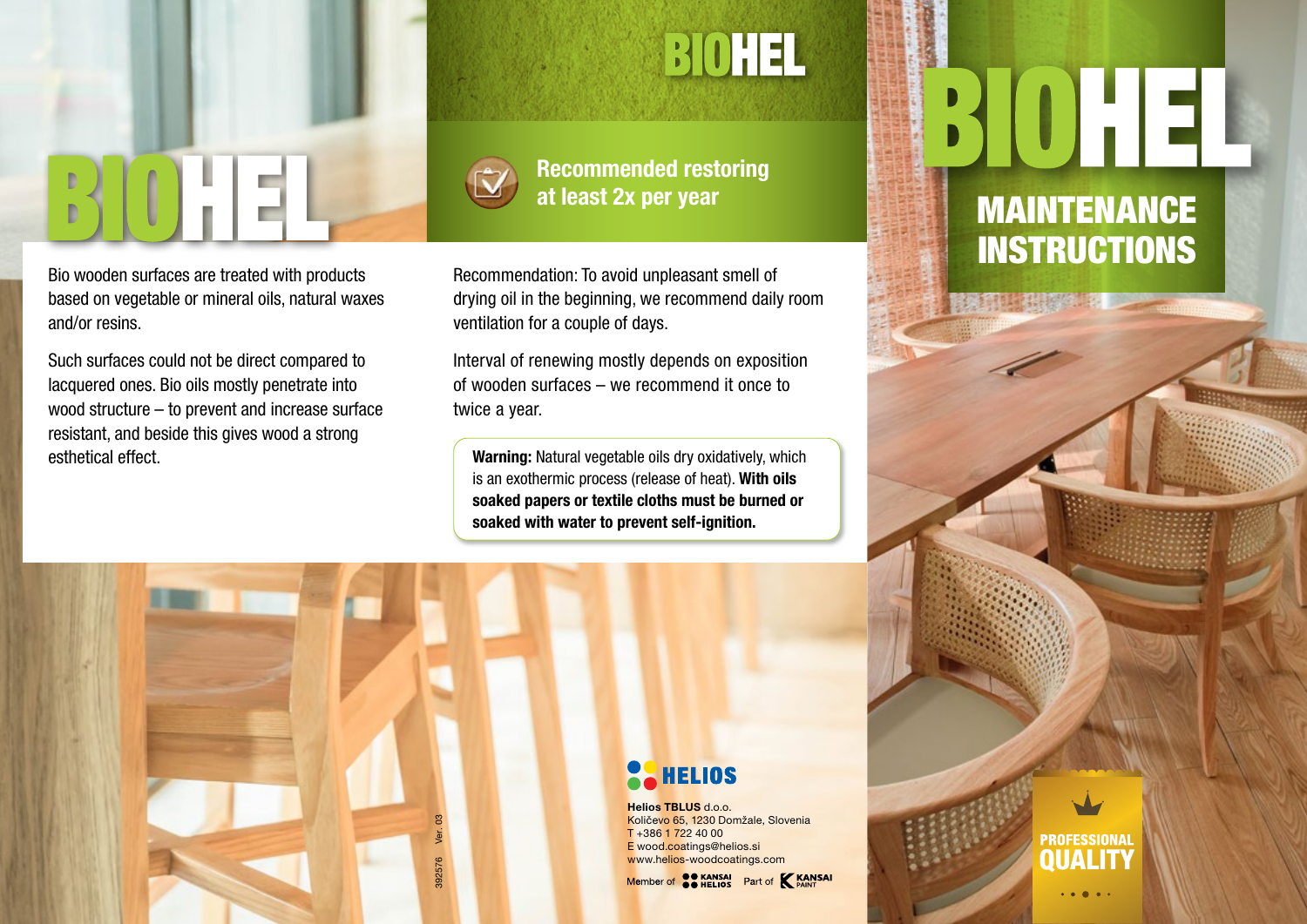

Bio wooden surfaces are treated with products based on vegetable or mineral oils, natural waxes and/or resins.

Such surfaces could not be direct compared to lacquered ones. Bio oils mostly penetrate into wood structure – to prevent and increase surface resistant, and beside this gives wood a strong esthetical effect.

### **BIOHEL**



392576 Ver. 03

392576

Recommended restoring at least 2x per year

Recommendation: To avoid unpleasant smell of drying oil in the beginning, we recommend daily room ventilation for a couple of days.

Interval of renewing mostly depends on exposition of wooden surfaces – we recommend it once to twice a year.

Warning: Natural vegetable oils dry oxidatively, which is an exothermic process (release of heat). With oils soaked papers or textile cloths must be burned or soaked with water to prevent self-ignition.

### MAINTENANCE **INSTRUCTIONS**

**PROFESSIONAL** 



Helios TBLUS d.o.o. Količevo 65, 1230 Domžale, Slovenia T +386 1 722 40 00 E wood.coatings@helios.si www.helios-woodcoatings.com

Member of **CO KANSAI** Part of **KANSAI**